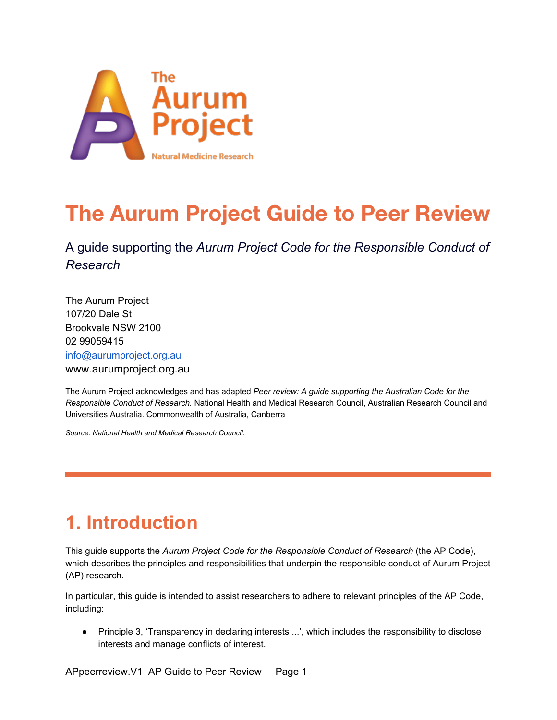

# **The Aurum Project Guide to Peer Review**

A guide supporting the *Aurum Project Code for the Responsible Conduct of Research*

The Aurum Project 107/20 Dale St Brookvale NSW 2100 02 99059415 [info@aurumproject.org.au](mailto:info@aurumproject.org.au) www.aurumproject.org.au

The Aurum Project acknowledges and has adapted *Peer review: A guide supporting the Australian Code for the Responsible Conduct of Research.* National Health and Medical Research Council, Australian Research Council and Universities Australia. Commonwealth of Australia, Canberra

*Source: National Health and Medical Research Council.*

### **1. Introduction**

This guide supports the *Aurum Project Code for the Responsible Conduct of Research* (the AP Code), which describes the principles and responsibilities that underpin the responsible conduct of Aurum Project (AP) research.

In particular, this guide is intended to assist researchers to adhere to relevant principles of the AP Code, including:

● Principle 3, 'Transparency in declaring interests ...', which includes the responsibility to disclose interests and manage conflicts of interest.

APpeerreview.V1 AP Guide to Peer Review Page 1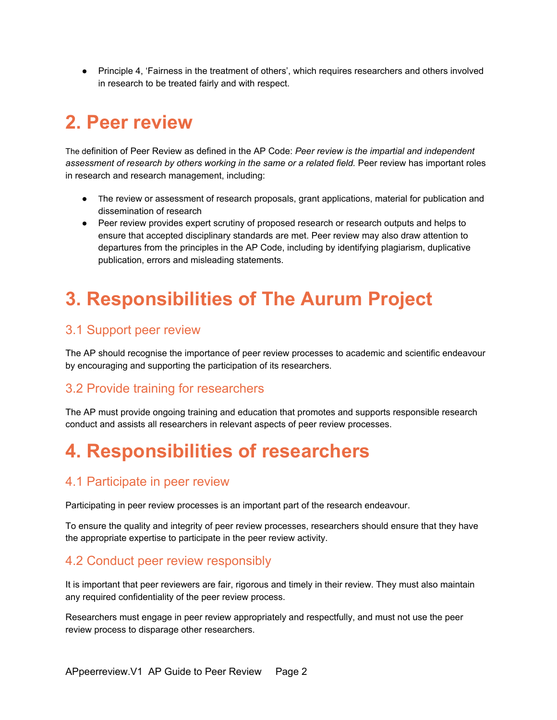● Principle 4, 'Fairness in the treatment of others', which requires researchers and others involved in research to be treated fairly and with respect.

### **2. Peer review**

The definition of Peer Review as defined in the AP Code: *Peer review is the impartial and independent assessment of research by others working in the same or a related field.* Peer review has important roles in research and research management, including:

- The review or assessment of research proposals, grant applications, material for publication and dissemination of research
- Peer review provides expert scrutiny of proposed research or research outputs and helps to ensure that accepted disciplinary standards are met. Peer review may also draw attention to departures from the principles in the AP Code, including by identifying plagiarism, duplicative publication, errors and misleading statements.

### **3. Responsibilities of The Aurum Project**

#### 3.1 Support peer review

The AP should recognise the importance of peer review processes to academic and scientific endeavour by encouraging and supporting the participation of its researchers.

#### 3.2 Provide training for researchers

The AP must provide ongoing training and education that promotes and supports responsible research conduct and assists all researchers in relevant aspects of peer review processes.

### **4. Responsibilities of researchers**

#### 4.1 Participate in peer review

Participating in peer review processes is an important part of the research endeavour.

To ensure the quality and integrity of peer review processes, researchers should ensure that they have the appropriate expertise to participate in the peer review activity.

#### 4.2 Conduct peer review responsibly

It is important that peer reviewers are fair, rigorous and timely in their review. They must also maintain any required confidentiality of the peer review process.

Researchers must engage in peer review appropriately and respectfully, and must not use the peer review process to disparage other researchers.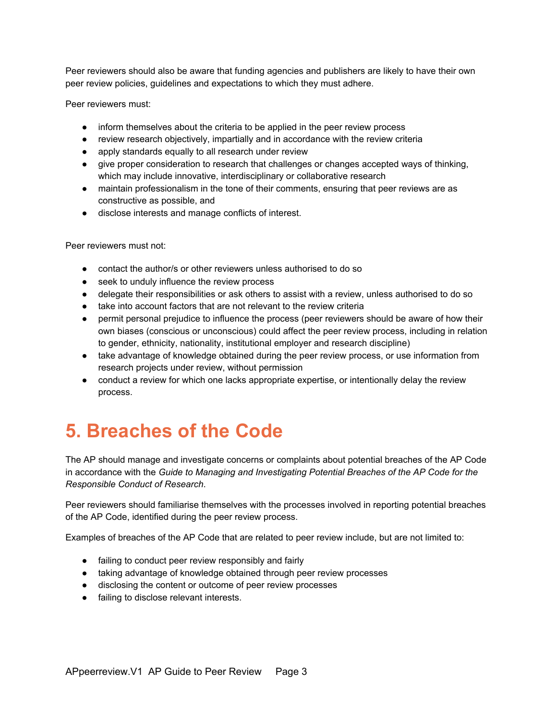Peer reviewers should also be aware that funding agencies and publishers are likely to have their own peer review policies, guidelines and expectations to which they must adhere.

Peer reviewers must:

- inform themselves about the criteria to be applied in the peer review process
- review research objectively, impartially and in accordance with the review criteria
- apply standards equally to all research under review
- give proper consideration to research that challenges or changes accepted ways of thinking, which may include innovative, interdisciplinary or collaborative research
- maintain professionalism in the tone of their comments, ensuring that peer reviews are as constructive as possible, and
- disclose interests and manage conflicts of interest.

Peer reviewers must not:

- contact the author/s or other reviewers unless authorised to do so
- seek to unduly influence the review process
- delegate their responsibilities or ask others to assist with a review, unless authorised to do so
- take into account factors that are not relevant to the review criteria
- permit personal prejudice to influence the process (peer reviewers should be aware of how their own biases (conscious or unconscious) could affect the peer review process, including in relation to gender, ethnicity, nationality, institutional employer and research discipline)
- take advantage of knowledge obtained during the peer review process, or use information from research projects under review, without permission
- conduct a review for which one lacks appropriate expertise, or intentionally delay the review process.

### **5. Breaches of the Code**

The AP should manage and investigate concerns or complaints about potential breaches of the AP Code in accordance with the *Guide to Managing and Investigating Potential Breaches of the AP Code for the Responsible Conduct of Research*.

Peer reviewers should familiarise themselves with the processes involved in reporting potential breaches of the AP Code, identified during the peer review process.

Examples of breaches of the AP Code that are related to peer review include, but are not limited to:

- failing to conduct peer review responsibly and fairly
- taking advantage of knowledge obtained through peer review processes
- disclosing the content or outcome of peer review processes
- failing to disclose relevant interests.